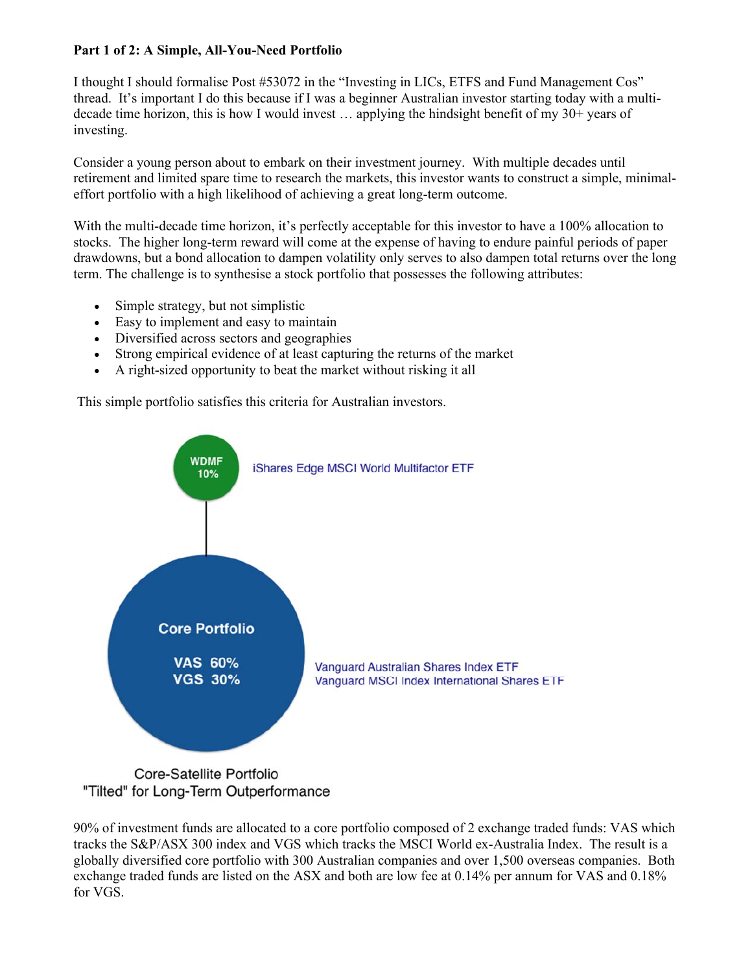## **Part 1 of 2: A Simple, All-You-Need Portfolio**

I thought I should formalise Post #53072 in the "Investing in LICs, ETFS and Fund Management Cos" thread. It's important I do this because if I was a beginner Australian investor starting today with a multidecade time horizon, this is how I would invest … applying the hindsight benefit of my 30+ years of investing.

Consider a young person about to embark on their investment journey. With multiple decades until retirement and limited spare time to research the markets, this investor wants to construct a simple, minimaleffort portfolio with a high likelihood of achieving a great long-term outcome.

With the multi-decade time horizon, it's perfectly acceptable for this investor to have a 100% allocation to stocks. The higher long-term reward will come at the expense of having to endure painful periods of paper drawdowns, but a bond allocation to dampen volatility only serves to also dampen total returns over the long term. The challenge is to synthesise a stock portfolio that possesses the following attributes:

- Simple strategy, but not simplistic
- Easy to implement and easy to maintain
- Diversified across sectors and geographies
- Strong empirical evidence of at least capturing the returns of the market
- A right-sized opportunity to beat the market without risking it all

This simple portfolio satisfies this criteria for Australian investors.



90% of investment funds are allocated to a core portfolio composed of 2 exchange traded funds: VAS which tracks the S&P/ASX 300 index and VGS which tracks the MSCI World ex-Australia Index. The result is a globally diversified core portfolio with 300 Australian companies and over 1,500 overseas companies. Both exchange traded funds are listed on the ASX and both are low fee at 0.14% per annum for VAS and 0.18% for VGS.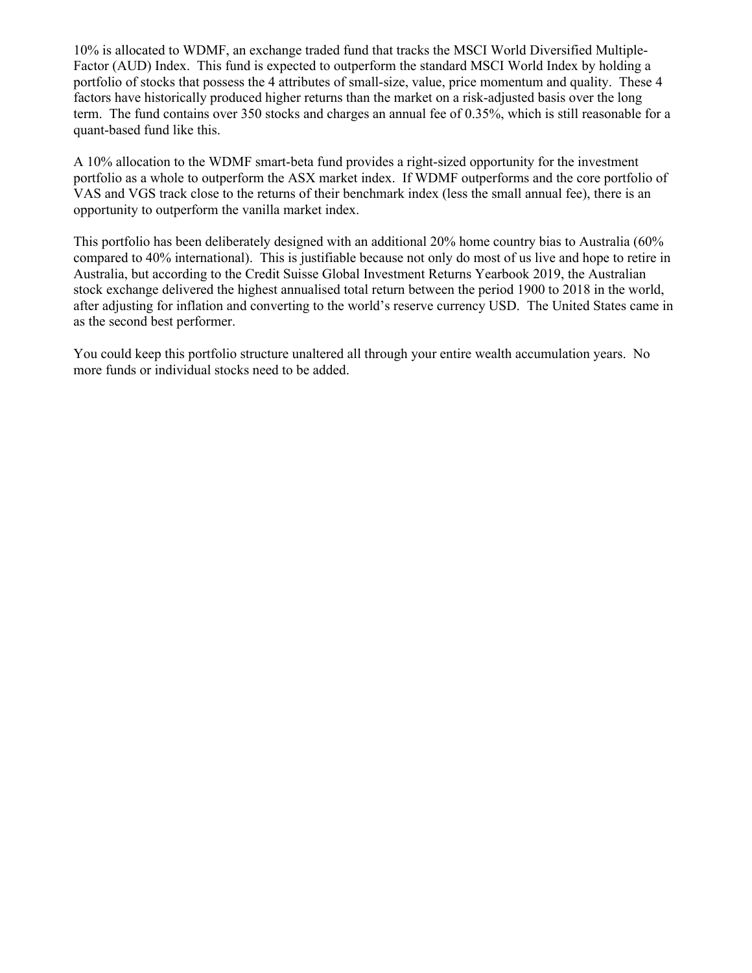10% is allocated to WDMF, an exchange traded fund that tracks the MSCI World Diversified Multiple-Factor (AUD) Index. This fund is expected to outperform the standard MSCI World Index by holding a portfolio of stocks that possess the 4 attributes of small-size, value, price momentum and quality. These 4 factors have historically produced higher returns than the market on a risk-adjusted basis over the long term. The fund contains over 350 stocks and charges an annual fee of 0.35%, which is still reasonable for a quant-based fund like this.

A 10% allocation to the WDMF smart-beta fund provides a right-sized opportunity for the investment portfolio as a whole to outperform the ASX market index. If WDMF outperforms and the core portfolio of VAS and VGS track close to the returns of their benchmark index (less the small annual fee), there is an opportunity to outperform the vanilla market index.

This portfolio has been deliberately designed with an additional 20% home country bias to Australia (60% compared to 40% international). This is justifiable because not only do most of us live and hope to retire in Australia, but according to the Credit Suisse Global Investment Returns Yearbook 2019, the Australian stock exchange delivered the highest annualised total return between the period 1900 to 2018 in the world, after adjusting for inflation and converting to the world's reserve currency USD. The United States came in as the second best performer.

You could keep this portfolio structure unaltered all through your entire wealth accumulation years. No more funds or individual stocks need to be added.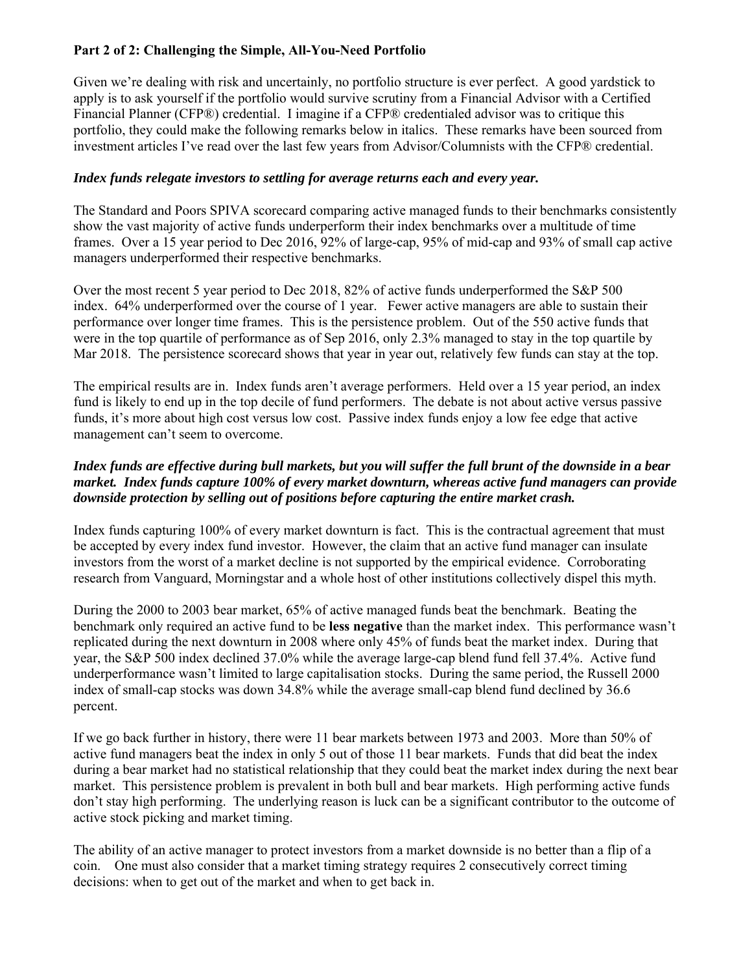# **Part 2 of 2: Challenging the Simple, All-You-Need Portfolio**

Given we're dealing with risk and uncertainly, no portfolio structure is ever perfect. A good yardstick to apply is to ask yourself if the portfolio would survive scrutiny from a Financial Advisor with a Certified Financial Planner (CFP®) credential. I imagine if a CFP® credentialed advisor was to critique this portfolio, they could make the following remarks below in italics. These remarks have been sourced from investment articles I've read over the last few years from Advisor/Columnists with the CFP® credential.

## *Index funds relegate investors to settling for average returns each and every year.*

The Standard and Poors SPIVA scorecard comparing active managed funds to their benchmarks consistently show the vast majority of active funds underperform their index benchmarks over a multitude of time frames. Over a 15 year period to Dec 2016, 92% of large-cap, 95% of mid-cap and 93% of small cap active managers underperformed their respective benchmarks.

Over the most recent 5 year period to Dec 2018, 82% of active funds underperformed the S&P 500 index. 64% underperformed over the course of 1 year. Fewer active managers are able to sustain their performance over longer time frames. This is the persistence problem. Out of the 550 active funds that were in the top quartile of performance as of Sep 2016, only 2.3% managed to stay in the top quartile by Mar 2018. The persistence scorecard shows that year in year out, relatively few funds can stay at the top.

The empirical results are in. Index funds aren't average performers. Held over a 15 year period, an index fund is likely to end up in the top decile of fund performers. The debate is not about active versus passive funds, it's more about high cost versus low cost. Passive index funds enjoy a low fee edge that active management can't seem to overcome.

### *Index funds are effective during bull markets, but you will suffer the full brunt of the downside in a bear market. Index funds capture 100% of every market downturn, whereas active fund managers can provide downside protection by selling out of positions before capturing the entire market crash.*

Index funds capturing 100% of every market downturn is fact. This is the contractual agreement that must be accepted by every index fund investor. However, the claim that an active fund manager can insulate investors from the worst of a market decline is not supported by the empirical evidence. Corroborating research from Vanguard, Morningstar and a whole host of other institutions collectively dispel this myth.

During the 2000 to 2003 bear market, 65% of active managed funds beat the benchmark. Beating the benchmark only required an active fund to be **less negative** than the market index. This performance wasn't replicated during the next downturn in 2008 where only 45% of funds beat the market index. During that year, the S&P 500 index declined 37.0% while the average large-cap blend fund fell 37.4%. Active fund underperformance wasn't limited to large capitalisation stocks. During the same period, the Russell 2000 index of small-cap stocks was down 34.8% while the average small-cap blend fund declined by 36.6 percent.

If we go back further in history, there were 11 bear markets between 1973 and 2003. More than 50% of active fund managers beat the index in only 5 out of those 11 bear markets. Funds that did beat the index during a bear market had no statistical relationship that they could beat the market index during the next bear market. This persistence problem is prevalent in both bull and bear markets. High performing active funds don't stay high performing. The underlying reason is luck can be a significant contributor to the outcome of active stock picking and market timing.

The ability of an active manager to protect investors from a market downside is no better than a flip of a coin. One must also consider that a market timing strategy requires 2 consecutively correct timing decisions: when to get out of the market and when to get back in.